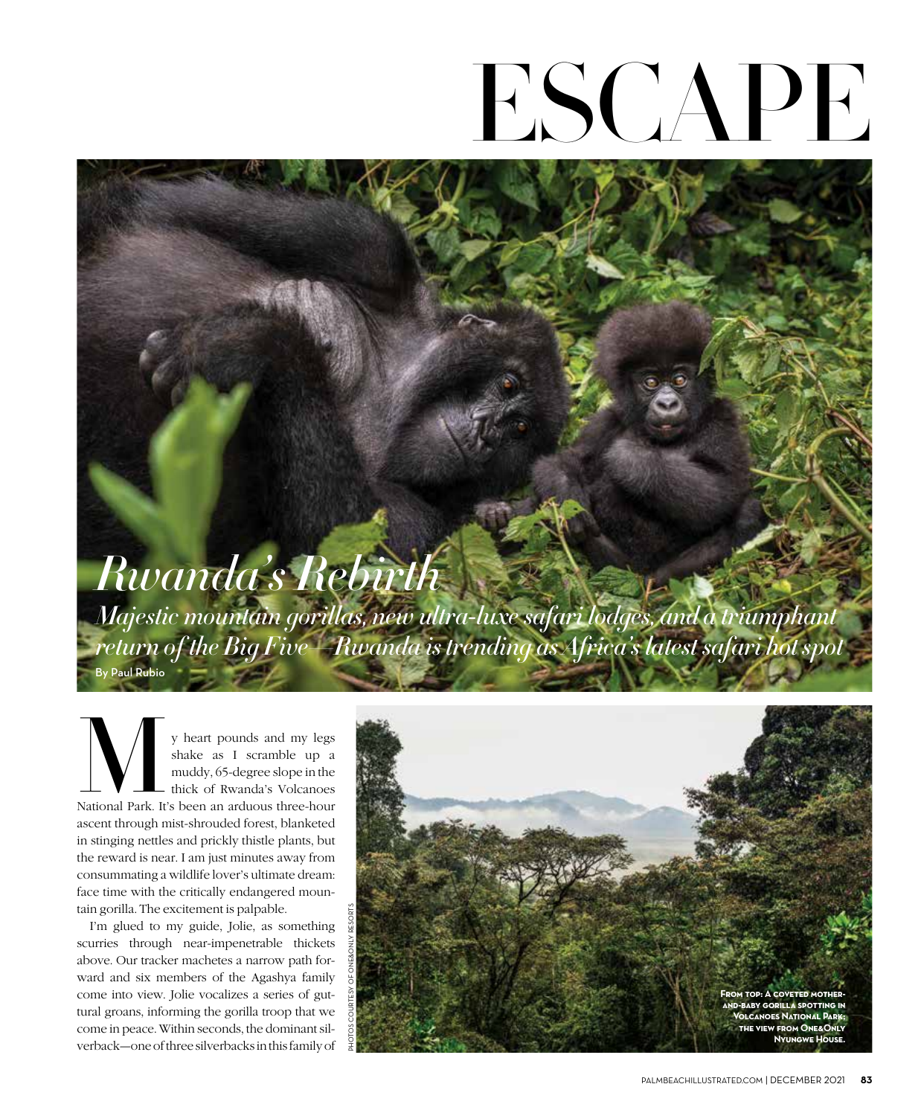## ESCAPE

## *Rwanda's Rebirth*

*Majestic mountain gorillas, new ultra-luxe safari lodges, and a triumphant return of the Big Five—Rwanda is trending as Africa's latest safari hot spot* By Paul Rubio

y heart pounds and my legs shake as I scramble up a muddy, 65-degree slope in the thick of Rwanda's Volcanoes y heart pounds and my legs<br>shake as I scramble up a<br>muddy, 65-degree slope in the<br>thick of Rwanda's Volcanoes<br>National Park. It's been an arduous three-hour ascent through mist-shrouded forest, blanketed in stinging nettles and prickly thistle plants, but the reward is near. I am just minutes away from consummating a wildlife lover's ultimate dream: face time with the critically endangered mountain gorilla. The excitement is palpable.

I'm glued to my guide, Jolie, as something scurries through near-impenetrable thickets above. Our tracker machetes a narrow path forward and six members of the Agashya family come into view. Jolie vocalizes a series of guttural groans, informing the gorilla troop that we come in peace. Within seconds, the dominant silverback—one of three silverbacks in this family of

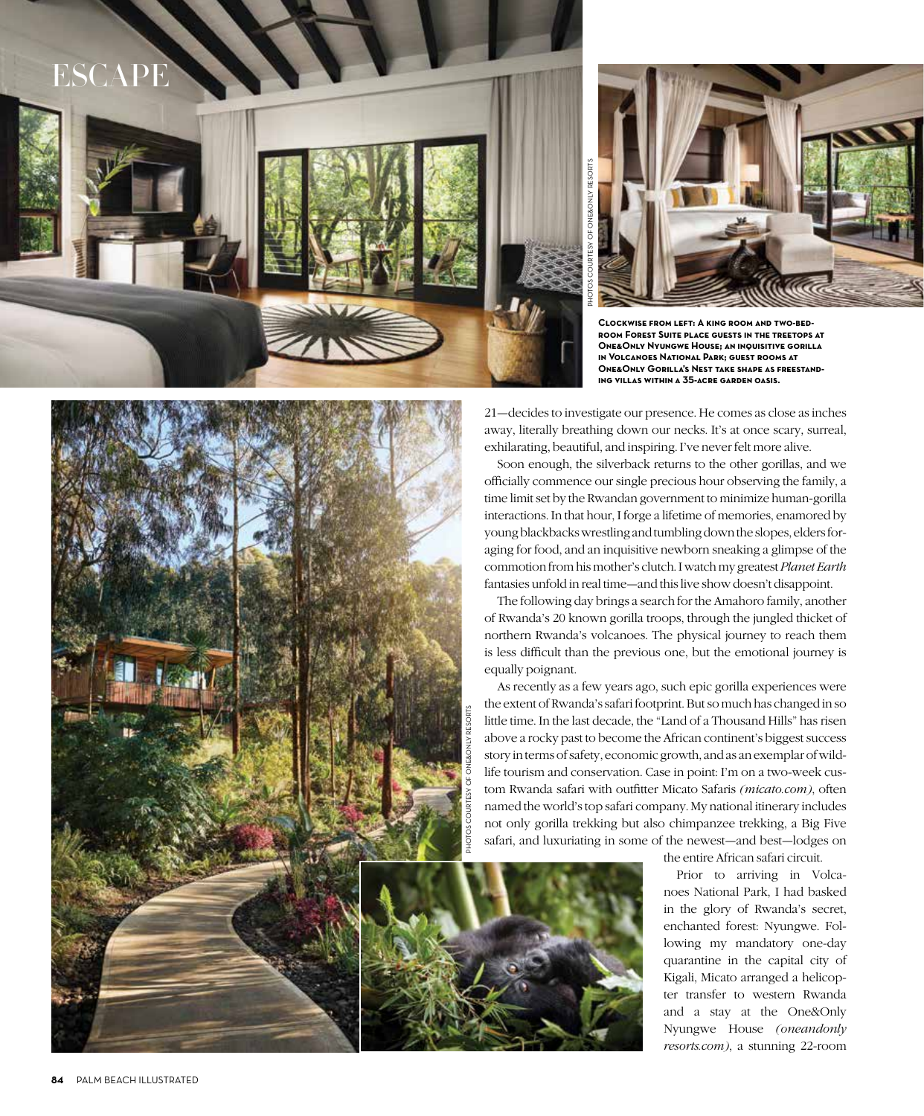



**Clockwise from left: A king room and two-bed room Forest Suite place guests in the treetops at One&Only Nyungwe House; an inquisitive gorilla in Volcanoes National Park; guest rooms at One&Only Gorilla's Nest take shape as freestand - ING VILLAS WITHIN A 35-ACRE GARDEN OASIS.** 

21—decides to investigate our presence. He comes as close as inches away, literally breathing down our necks. It's at once scary, surreal, exhilarating, beautiful, and inspiring. I've never felt more alive.

Soon enough, the silverback returns to the other gorillas, and we officially commence our single precious hour observing the family, a time limit set by the Rwandan government to minimize human-gorilla interactions. In that hour, I forge a lifetime of memories, enamored by young blackbacks wrestling and tumbling down the slopes, elders for aging for food, and an inquisitive newborn sneaking a glimpse of the commotion from his mother's clutch. I watch my greatest Planet Earth fantasies unfold in real time—and this live show doesn't disappoint.

The following day brings a search for the Amahoro family, another of Rwanda's 20 known gorilla troops, through the jungled thicket of northern Rwanda's volcanoes. The physical journey to reach them is less difficult than the previous one, but the emotional journey is equally poignant.

As recently as a few years ago, such epic gorilla experiences were the extent of Rwanda's safari footprint. But so much has changed in so little time. In the last decade, the "Land of a Thousand Hills" has risen above a rocky past to become the African continent's biggest success story in terms of safety, economic growth, and as an exemplar of wild life tourism and conservation. Case in point: I'm on a two-week cus tom Rwanda safari with outfitter Micato Safaris (micato.com), often named the world's top safari company. My national itinerary includes not only gorilla trekking but also chimpanzee trekking, a Big Five safari, and luxuriating in some of the newest—and best—lodges on

the entire African safari circuit.

Prior to arriving in Volca noes National Park, I had basked in the glory of Rwanda's secret, enchanted forest: Nyungwe. Fol lowing my mandatory one-day quarantine in the capital city of Kigali, Micato arranged a helicop ter transfer to western Rwanda and a stay at the One&Only Nyungwe House (oneandonly resorts.com), a stunning 22-room

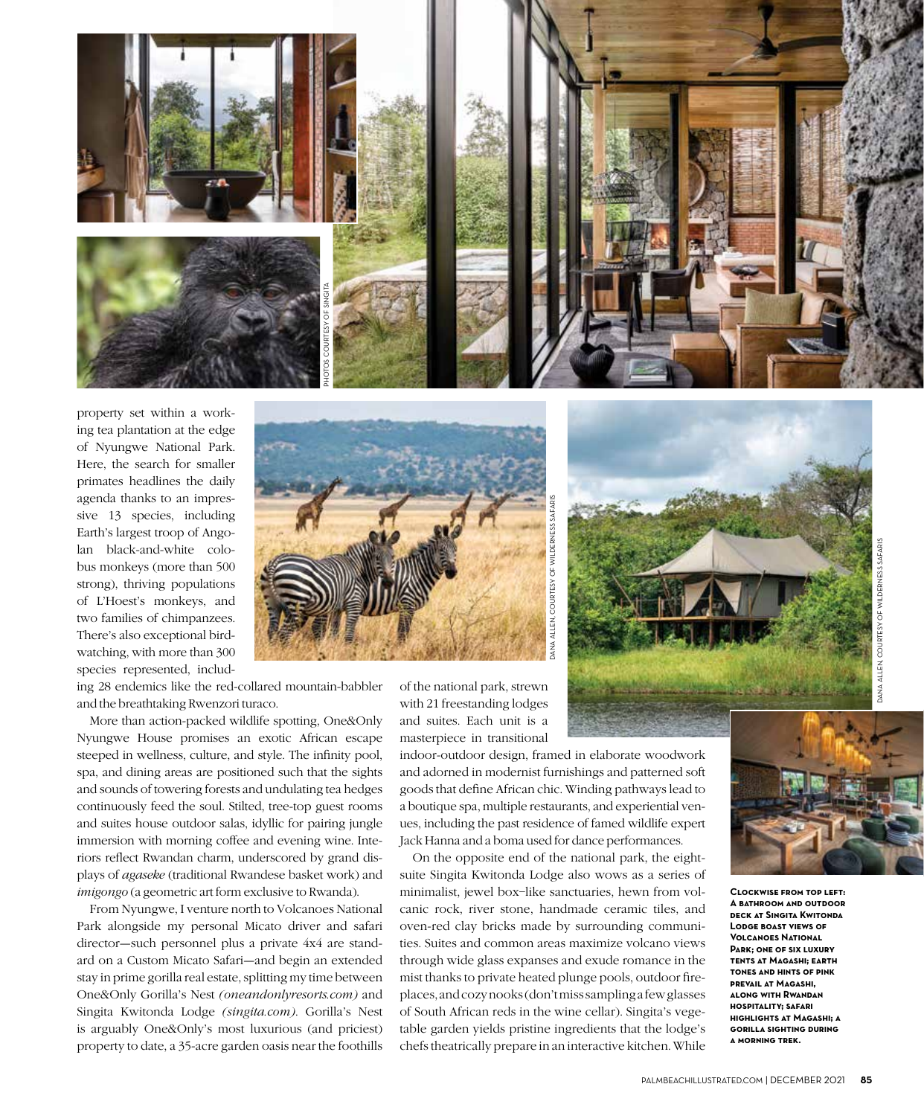

property set within a working tea plantation at the edge of Nyungwe National Park. Here, the search for smaller primates headlines the daily agenda thanks to an impressive 13 species, including Earth's largest troop of Angolan black-and-white colobus monkeys (more than 500 strong), thriving populations of L'Hoest's monkeys, and two families of chimpanzees. There's also exceptional birdwatching, with more than 300 species represented, includ-



ing 28 endemics like the red-collared mountain-babbler and the breathtaking Rwenzori turaco.

More than action-packed wildlife spotting, One&Only Nyungwe House promises an exotic African escape steeped in wellness, culture, and style. The infinity pool, spa, and dining areas are positioned such that the sights and sounds of towering forests and undulating tea hedges continuously feed the soul. Stilted, tree-top guest rooms and suites house outdoor salas, idyllic for pairing jungle immersion with morning coffee and evening wine. Interiors reflect Rwandan charm, underscored by grand displays of agaseke (traditional Rwandese basket work) and imigongo (a geometric art form exclusive to Rwanda).

From Nyungwe, I venture north to Volcanoes National Park alongside my personal Micato driver and safari director—such personnel plus a private 4x4 are standard on a Custom Micato Safari—and begin an extended stay in prime gorilla real estate, splitting my time between One&Only Gorilla's Nest (oneandonlyresorts.com) and Singita Kwitonda Lodge (singita.com). Gorilla's Nest is arguably One&Only's most luxurious (and priciest) property to date, a 35-acre garden oasis near the foothills of the national park, strewn with 21 freestanding lodges and suites. Each unit is a masterpiece in transitional

indoor-outdoor design, framed in elaborate woodwork and adorned in modernist furnishings and patterned soft goods that define African chic. Winding pathways lead to a boutique spa, multiple restaurants, and experiential venues, including the past residence of famed wildlife expert Jack Hanna and a boma used for dance performances.

DANA ALLEN, COURTESY OF WILDERNESS SAFARIS

On the opposite end of the national park, the eightsuite Singita Kwitonda Lodge also wows as a series of minimalist, jewel box–like sanctuaries, hewn from volcanic rock, river stone, handmade ceramic tiles, and oven-red clay bricks made by surrounding communities. Suites and common areas maximize volcano views through wide glass expanses and exude romance in the mist thanks to private heated plunge pools, outdoor fireplaces, and cozy nooks (don't miss sampling a few glasses of South African reds in the wine cellar). Singita's vegetable garden yields pristine ingredients that the lodge's chefs theatrically prepare in an interactive kitchen. While



**Clockwise from top left: A bathroom and outdoor deck at Singita Kwitonda Lodge boast views of Volcanoes National Park; one of six luxury tents at Magashi; earth tones and hints of pink prevail at Magashi, along with Rwandan hospitality; safari highlights at Magashi; a gorilla sighting during a morning trek.**